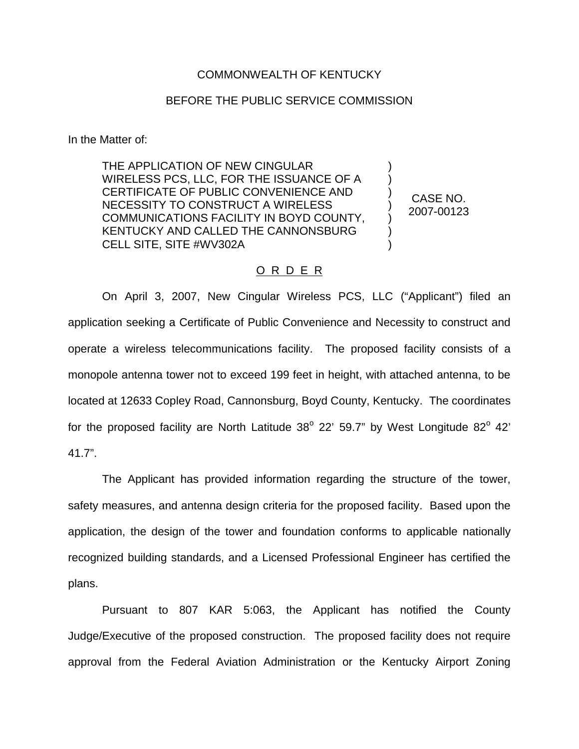## COMMONWEALTH OF KENTUCKY

## BEFORE THE PUBLIC SERVICE COMMISSION

In the Matter of:

THE APPLICATION OF NEW CINGULAR WIRELESS PCS, LLC, FOR THE ISSUANCE OF A CERTIFICATE OF PUBLIC CONVENIENCE AND NECESSITY TO CONSTRUCT A WIRELESS COMMUNICATIONS FACILITY IN BOYD COUNTY, KENTUCKY AND CALLED THE CANNONSBURG CELL SITE, SITE #WV302A

CASE NO. 2007-00123

) ) ) ) ) ) )

## O R D E R

On April 3, 2007, New Cingular Wireless PCS, LLC ("Applicant") filed an application seeking a Certificate of Public Convenience and Necessity to construct and operate a wireless telecommunications facility. The proposed facility consists of a monopole antenna tower not to exceed 199 feet in height, with attached antenna, to be located at 12633 Copley Road, Cannonsburg, Boyd County, Kentucky. The coordinates for the proposed facility are North Latitude  $38^{\circ}$  22' 59.7" by West Longitude  $82^{\circ}$  42' 41.7".

The Applicant has provided information regarding the structure of the tower, safety measures, and antenna design criteria for the proposed facility. Based upon the application, the design of the tower and foundation conforms to applicable nationally recognized building standards, and a Licensed Professional Engineer has certified the plans.

Pursuant to 807 KAR 5:063, the Applicant has notified the County Judge/Executive of the proposed construction. The proposed facility does not require approval from the Federal Aviation Administration or the Kentucky Airport Zoning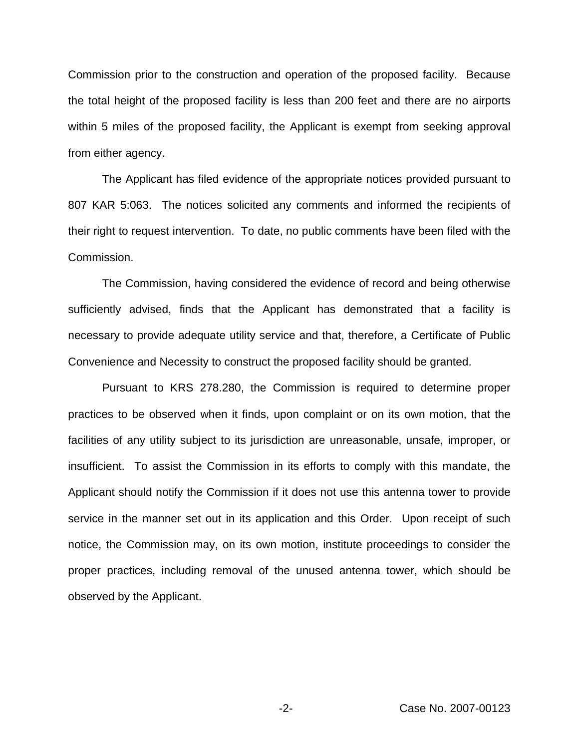Commission prior to the construction and operation of the proposed facility. Because the total height of the proposed facility is less than 200 feet and there are no airports within 5 miles of the proposed facility, the Applicant is exempt from seeking approval from either agency.

The Applicant has filed evidence of the appropriate notices provided pursuant to 807 KAR 5:063. The notices solicited any comments and informed the recipients of their right to request intervention. To date, no public comments have been filed with the Commission.

The Commission, having considered the evidence of record and being otherwise sufficiently advised, finds that the Applicant has demonstrated that a facility is necessary to provide adequate utility service and that, therefore, a Certificate of Public Convenience and Necessity to construct the proposed facility should be granted.

Pursuant to KRS 278.280, the Commission is required to determine proper practices to be observed when it finds, upon complaint or on its own motion, that the facilities of any utility subject to its jurisdiction are unreasonable, unsafe, improper, or insufficient. To assist the Commission in its efforts to comply with this mandate, the Applicant should notify the Commission if it does not use this antenna tower to provide service in the manner set out in its application and this Order. Upon receipt of such notice, the Commission may, on its own motion, institute proceedings to consider the proper practices, including removal of the unused antenna tower, which should be observed by the Applicant.